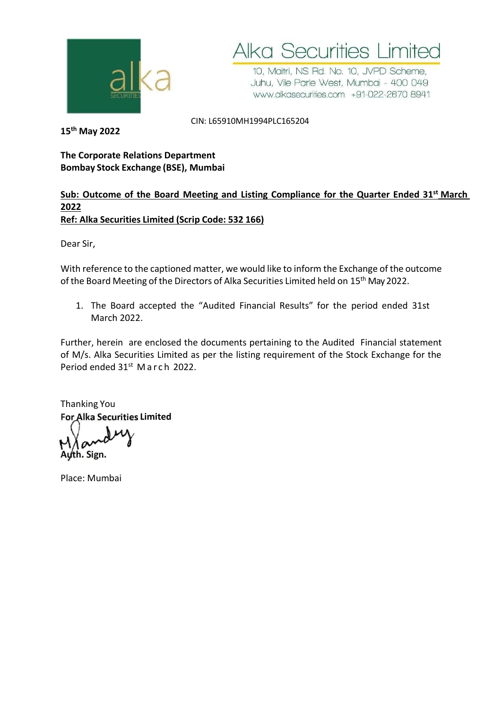

**Alka Securities Limited** 

10, Maitri, NS Rd. No. 10, JVPD Scheme, Juhu, Vile Parle West, Mumbai - 400 049 www.alkasecurities.com +91-022-2670 8941

CIN: L65910MH1994PLC165204

**15th May 2022**

# **The Corporate Relations Department Bombay Stock Exchange (BSE), Mumbai**

# **Sub: Outcome of the Board Meeting and Listing Compliance for the Quarter Ended 31 st March 2022 Ref: Alka Securities Limited (Scrip Code: 532 166)**

Dear Sir,

With reference to the captioned matter, we would like to inform the Exchange of the outcome of the Board Meeting of the Directors of Alka Securities Limited held on 15<sup>th</sup> May 2022.

1. The Board accepted the "Audited Financial Results" for the period ended 31st March 2022.

Further, herein are enclosed the documents pertaining to the Audited Financial statement of M/s. Alka Securities Limited as per the listing requirement of the Stock Exchange for the Period ended 31<sup>st</sup> March 2022.

Thanking You **Limited For Alka Securities**

**Auth. Sign.**

Place: Mumbai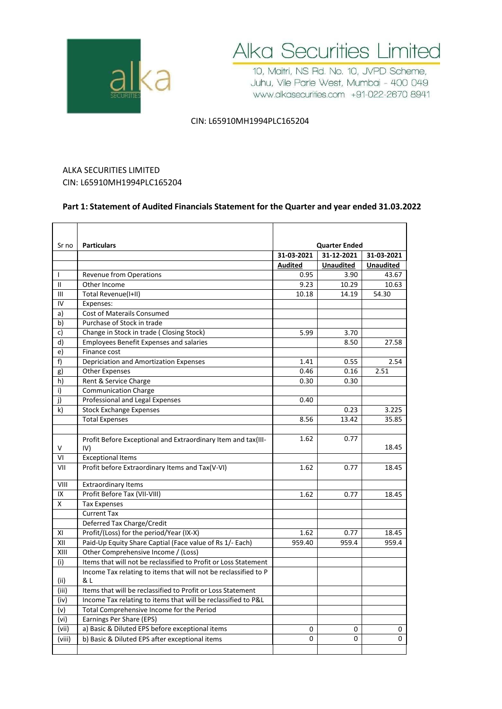



10, Maitri, NS Rd. No. 10, JVPD Scheme, Juhu, Vile Parle West, Mumbai - 400 049 www.alkasecurities.com +91-022-2670 8941

### CIN: L65910MH1994PLC165204

# ALKA SECURITIES LIMITED CIN: L65910MH1994PLC165204

### **Part 1: Statement of Audited Financials Statement for the Quarter and year ended 31.03.2022**

| Sr no        | <b>Particulars</b>                                                   |                | <b>Quarter Ended</b> |                  |  |
|--------------|----------------------------------------------------------------------|----------------|----------------------|------------------|--|
|              |                                                                      | 31-03-2021     | 31-12-2021           | 31-03-2021       |  |
|              |                                                                      | <b>Audited</b> | <b>Unaudited</b>     | <b>Unaudited</b> |  |
| $\mathbf{I}$ | Revenue from Operations                                              | 0.95           | 3.90                 | 43.67            |  |
| $\mathbf{I}$ | Other Income                                                         | 9.23           | 10.29                | 10.63            |  |
| III          | Total Revenue(I+II)                                                  | 10.18          | 14.19                | 54.30            |  |
| IV           | Expenses:                                                            |                |                      |                  |  |
| a)           | <b>Cost of Materails Consumed</b>                                    |                |                      |                  |  |
| b)           | Purchase of Stock in trade                                           |                |                      |                  |  |
| c)           | Change in Stock in trade (Closing Stock)                             | 5.99           | 3.70                 |                  |  |
| d)           | <b>Employees Benefit Expenses and salaries</b>                       |                | 8.50                 | 27.58            |  |
| e)           | Finance cost                                                         |                |                      |                  |  |
| f)           | Depriciation and Amortization Expenses                               | 1.41           | 0.55                 | 2.54             |  |
| g)           | <b>Other Expenses</b>                                                | 0.46           | 0.16                 | 2.51             |  |
| h)           | Rent & Service Charge                                                | 0.30           | 0.30                 |                  |  |
| i)           | <b>Communication Charge</b>                                          |                |                      |                  |  |
| j)           | Professional and Legal Expenses                                      | 0.40           |                      |                  |  |
| k)           | <b>Stock Exchange Expenses</b>                                       |                | 0.23                 | 3.225            |  |
|              | <b>Total Expenses</b>                                                | 8.56           | 13.42                | 35.85            |  |
|              |                                                                      |                |                      |                  |  |
| V            | Profit Before Exceptional and Extraordinary Item and tax(III-<br>IV) | 1.62           | 0.77                 | 18.45            |  |
| VI           | <b>Exceptional Items</b>                                             |                |                      |                  |  |
| VII          | Profit before Extraordinary Items and Tax(V-VI)                      | 1.62           | 0.77                 | 18.45            |  |
| VIII         | <b>Extraordinary Items</b>                                           |                |                      |                  |  |
| IX           | Profit Before Tax (VII-VIII)                                         | 1.62           | 0.77                 | 18.45            |  |
| X            | <b>Tax Expenses</b>                                                  |                |                      |                  |  |
|              | <b>Current Tax</b>                                                   |                |                      |                  |  |
|              | Deferred Tax Charge/Credit                                           |                |                      |                  |  |
| XI           | Profit/(Loss) for the period/Year (IX-X)                             | 1.62           | 0.77                 | 18.45            |  |
| XII          | Paid-Up Equity Share Captial (Face value of Rs 1/- Each)             | 959.40         | 959.4                | 959.4            |  |
| XIII         | Other Comprehensive Income / (Loss)                                  |                |                      |                  |  |
| (i)          | Items that will not be reclassified to Profit or Loss Statement      |                |                      |                  |  |
|              | Income Tax relating to items that will not be reclassified to P      |                |                      |                  |  |
| (ii)         | & L                                                                  |                |                      |                  |  |
| (iii)        | Items that will be reclassified to Profit or Loss Statement          |                |                      |                  |  |
| (iv)         | Income Tax relating to items that will be reclassified to P&L        |                |                      |                  |  |
| (v)          | Total Comprehensive Income for the Period                            |                |                      |                  |  |
| (vi)         | Earnings Per Share (EPS)                                             |                |                      |                  |  |
| (vii)        | a) Basic & Diluted EPS before exceptional items                      | 0              | 0                    | 0                |  |
| (viii)       | b) Basic & Diluted EPS after exceptional items                       | 0              | $\Omega$             | $\Omega$         |  |
|              |                                                                      |                |                      |                  |  |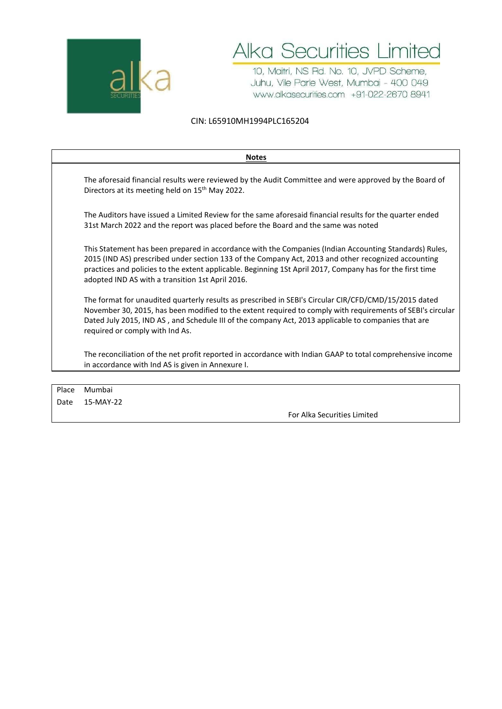



10, Maitri, NS Rd. No. 10, JVPD Scheme, Juhu, Vile Parle West, Mumbai - 400 049 www.alkasecurities.com +91-022-2670 8941

### CIN: L65910MH1994PLC165204

| <b>Notes</b>                                                                                                                                                                                                                                                                                                                                                                   |
|--------------------------------------------------------------------------------------------------------------------------------------------------------------------------------------------------------------------------------------------------------------------------------------------------------------------------------------------------------------------------------|
| The aforesaid financial results were reviewed by the Audit Committee and were approved by the Board of<br>Directors at its meeting held on 15 <sup>th</sup> May 2022.                                                                                                                                                                                                          |
| The Auditors have issued a Limited Review for the same aforesaid financial results for the quarter ended<br>31st March 2022 and the report was placed before the Board and the same was noted                                                                                                                                                                                  |
| This Statement has been prepared in accordance with the Companies (Indian Accounting Standards) Rules,<br>2015 (IND AS) prescribed under section 133 of the Company Act, 2013 and other recognized accounting<br>practices and policies to the extent applicable. Beginning 1St April 2017, Company has for the first time<br>adopted IND AS with a transition 1st April 2016. |
| The format for unaudited quarterly results as prescribed in SEBI's Circular CIR/CFD/CMD/15/2015 dated<br>November 30, 2015, has been modified to the extent required to comply with requirements of SEBI's circular<br>Dated July 2015, IND AS, and Schedule III of the company Act, 2013 applicable to companies that are<br>required or comply with Ind As.                  |
| The reconciliation of the net profit reported in accordance with Indian GAAP to total comprehensive income<br>in accordance with Ind AS is given in Annexure I.                                                                                                                                                                                                                |
|                                                                                                                                                                                                                                                                                                                                                                                |

| Place Mumbai   |                             |
|----------------|-----------------------------|
| Date 15-MAY-22 |                             |
|                | For Alka Securities Limited |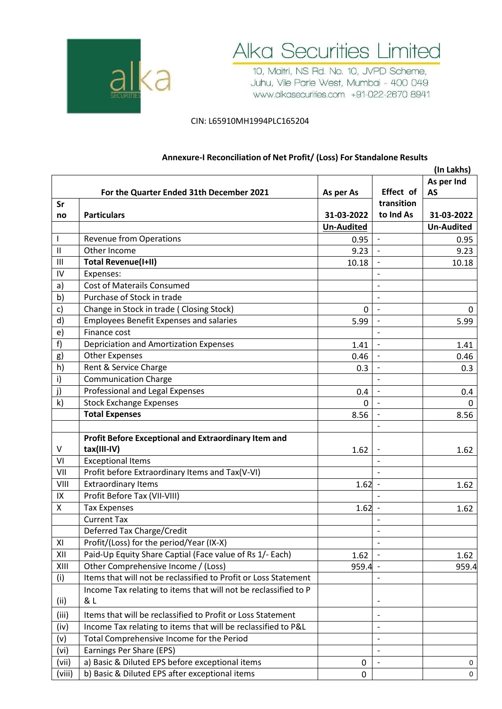



10, Maitri, NS Rd. No. 10, JVPD Scheme, Juhu, Vile Parle West, Mumbai - 400 049 www.alkasecurities.com +91-022-2670 8941

### CIN: L65910MH1994PLC165204

|              |                                                                 |                   |                          | (In Lakhs)        |
|--------------|-----------------------------------------------------------------|-------------------|--------------------------|-------------------|
|              |                                                                 |                   |                          | As per Ind        |
|              | For the Quarter Ended 31th December 2021                        | As per As         | Effect of                | <b>AS</b>         |
| Sr           |                                                                 |                   | transition               |                   |
| no           | <b>Particulars</b>                                              | 31-03-2022        | to Ind As                | 31-03-2022        |
|              |                                                                 | <b>Un-Audited</b> |                          | <b>Un-Audited</b> |
| $\mathbf{I}$ | <b>Revenue from Operations</b>                                  | 0.95              | $\blacksquare$           | 0.95              |
| $\mathbf{I}$ | Other Income                                                    | 9.23              |                          | 9.23              |
| Ш            | <b>Total Revenue(I+II)</b>                                      | 10.18             |                          | 10.18             |
| IV           | Expenses:                                                       |                   |                          |                   |
| a)           | <b>Cost of Materails Consumed</b>                               |                   |                          |                   |
| b)           | Purchase of Stock in trade                                      |                   |                          |                   |
| c)           | Change in Stock in trade (Closing Stock)                        | 0                 | $\qquad \qquad -$        | 0                 |
| d)           | <b>Employees Benefit Expenses and salaries</b>                  | 5.99              |                          | 5.99              |
| e)           | Finance cost                                                    |                   |                          |                   |
| f)           | Depriciation and Amortization Expenses                          | 1.41              | $\overline{\phantom{a}}$ | 1.41              |
| g)           | <b>Other Expenses</b>                                           | 0.46              |                          | 0.46              |
| h)           | Rent & Service Charge                                           | 0.3               |                          | 0.3               |
| $\mathsf{i}$ | <b>Communication Charge</b>                                     |                   | $\overline{\phantom{a}}$ |                   |
| j)           | Professional and Legal Expenses                                 | 0.4               | $\overline{\phantom{a}}$ | 0.4               |
| k)           | <b>Stock Exchange Expenses</b>                                  | 0                 |                          | 0                 |
|              | <b>Total Expenses</b>                                           | 8.56              | $\blacksquare$           | 8.56              |
|              |                                                                 |                   |                          |                   |
|              | Profit Before Exceptional and Extraordinary Item and            |                   |                          |                   |
| V            | tax(III-IV)                                                     | 1.62              | $\overline{\phantom{m}}$ | 1.62              |
| VI           | <b>Exceptional Items</b>                                        |                   |                          |                   |
| VII          | Profit before Extraordinary Items and Tax(V-VI)                 |                   |                          |                   |
| VIII         | <b>Extraordinary Items</b>                                      | 1.62              | $\overline{\phantom{a}}$ | 1.62              |
| IX           | Profit Before Tax (VII-VIII)                                    |                   | $\blacksquare$           |                   |
| X            | <b>Tax Expenses</b>                                             | 1.62              | $\overline{\phantom{a}}$ | 1.62              |
|              | <b>Current Tax</b>                                              |                   | $\overline{\phantom{a}}$ |                   |
|              | Deferred Tax Charge/Credit                                      |                   | $\overline{\phantom{a}}$ |                   |
| XI           | Profit/(Loss) for the period/Year (IX-X)                        |                   |                          |                   |
| XII          | Paid-Up Equity Share Captial (Face value of Rs 1/- Each)        | 1.62              |                          | 1.62              |
| XIII         | Other Comprehensive Income / (Loss)                             | $959.4 -$         |                          | 959.4             |
| (i)          | Items that will not be reclassified to Profit or Loss Statement |                   |                          |                   |
|              | Income Tax relating to items that will not be reclassified to P |                   |                          |                   |
| (ii)         | & L                                                             |                   |                          |                   |
| (iii)        | Items that will be reclassified to Profit or Loss Statement     |                   |                          |                   |
| (iv)         | Income Tax relating to items that will be reclassified to P&L   |                   | $\overline{\phantom{a}}$ |                   |
| (v)          | Total Comprehensive Income for the Period                       |                   | $\overline{\phantom{a}}$ |                   |
| (vi)         | Earnings Per Share (EPS)                                        |                   |                          |                   |
| (vii)        | a) Basic & Diluted EPS before exceptional items                 | 0                 | $\overline{\phantom{a}}$ | 0                 |
| (viii)       | b) Basic & Diluted EPS after exceptional items                  | 0                 |                          | 0                 |

## **Annexure-I Reconciliation of Net Profit/ (Loss) For Standalone Results**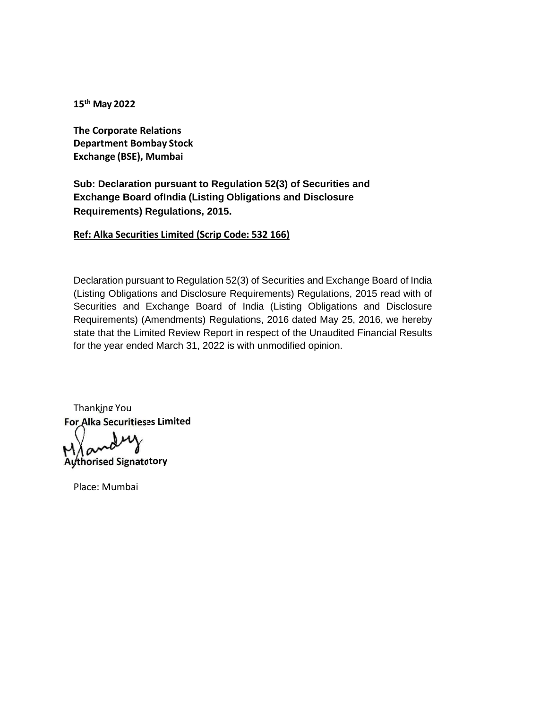**15 th May 2022**

**The Corporate Relations Department Bombay Stock Exchange (BSE), Mumbai**

**Sub: Declaration pursuant to Regulation 52(3) of Securities and Exchange Board ofIndia (Listing Obligations and Disclosure Requirements) Regulations, 2015.**

**Ref: Alka Securities Limited (Scrip Code: 532 166)**

Declaration pursuant to Regulation 52(3) of Securities and Exchange Board of India (Listing Obligations and Disclosure Requirements) Regulations, 2015 read with of Securities and Exchange Board of India (Listing Obligations and Disclosure Requirements) (Amendments) Regulations, 2016 dated May 25, 2016, we hereby state that the Limited Review Report in respect of the Unaudited Financial Results for the year ended March 31, 2022 is with unmodified opinion.

Thanking You **For Alka Securities Limited**

**Authorised Signatory**

Place: Mumbai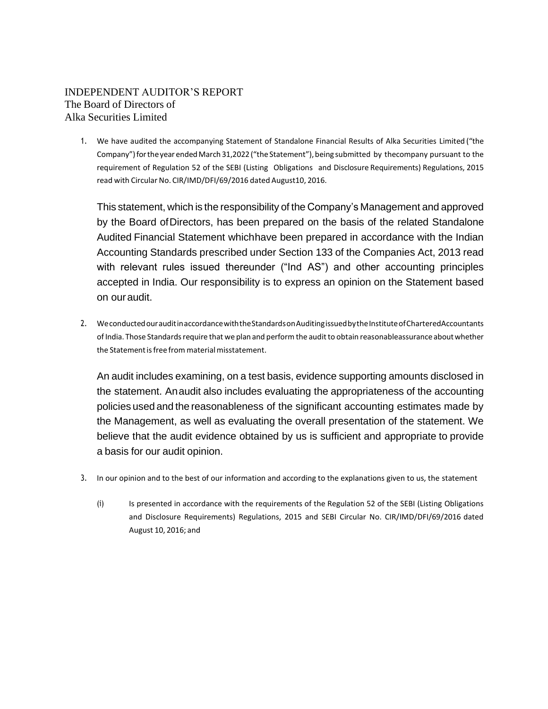## INDEPENDENT AUDITOR'S REPORT The Board of Directors of Alka Securities Limited

1. We have audited the accompanying Statement of Standalone Financial Results of Alka Securities Limited ("the Company") for the year ended March 31,2022 ("the Statement"), being submitted by thecompany pursuant to the requirement of Regulation 52 of the SEBI (Listing Obligations and Disclosure Requirements) Regulations, 2015 read with Circular No. CIR/IMD/DFI/69/2016 dated August10, 2016.

This statement, which is the responsibility of the Company's Management and approved by the Board ofDirectors, has been prepared on the basis of the related Standalone Audited Financial Statement whichhave been prepared in accordance with the Indian Accounting Standards prescribed under Section 133 of the Companies Act, 2013 read with relevant rules issued thereunder ("Ind AS") and other accounting principles accepted in India. Our responsibility is to express an opinion on the Statement based on ouraudit.

2. We conducted our audit in accordance with the Standards on Auditing issued by the Institute of Chartered Accountants of India. Those Standards require that we plan and perform the audit to obtain reasonableassurance about whether the Statement is free from material misstatement.

An audit includes examining, on a test basis, evidence supporting amounts disclosed in the statement. Anaudit also includes evaluating the appropriateness of the accounting policies used and the reasonableness of the significant accounting estimates made by the Management, as well as evaluating the overall presentation of the statement. We believe that the audit evidence obtained by us is sufficient and appropriate to provide a basis for our audit opinion.

- 3. In our opinion and to the best of our information and according to the explanations given to us, the statement
	- (i) Is presented in accordance with the requirements of the Regulation 52 of the SEBI (Listing Obligations and Disclosure Requirements) Regulations, 2015 and SEBI Circular No. CIR/IMD/DFI/69/2016 dated August 10, 2016; and